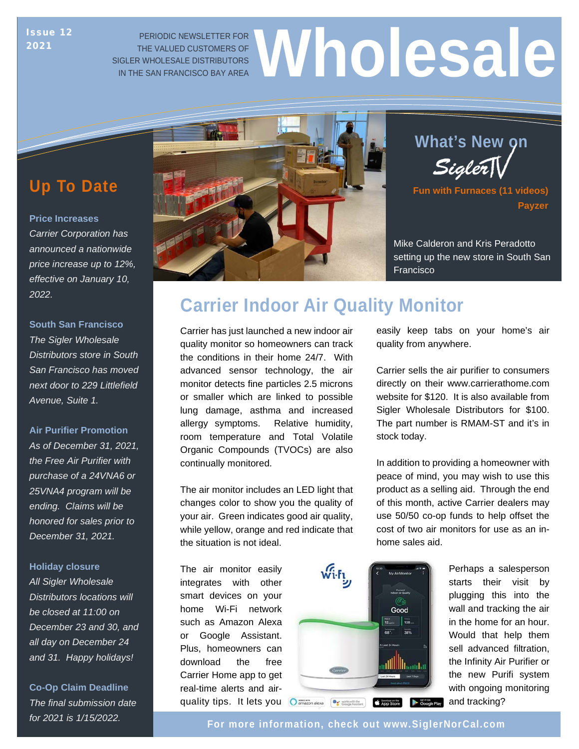## 2021

## PERIODIC NEWSLETTER FOR THE VALUED CUSTOMERS OF SIGLER WHOLESALE DISTRIBUTORS ISSUE 12 PERIODIC NEWSLETTER FOR<br>2021 THE VALUED CUSTOMERS OF<br>IN THE SAN FRANCISCO BAY AREA

## **Up To Date**

#### **Price Increases**

effective on January 10, *Carrier Corporation has announced a nationwide price increase up to 12%, 2022.* 

#### **South San Francisco**

*The Sigler Wholesale Distributors store in South San Francisco has moved next door to 229 Littlefield Avenue, Suite 1.*

#### **Air Purifier Promotion**

*As of December 31, 2021, the Free Air Purifier with purchase of a 24VNA6 or 25VNA4 program will be ending. Claims will be honored for sales prior to December 31, 2021.*

#### **Holiday closure**

*All Sigler Wholesale Distributors locations will be closed at 11:00 on December 23 and 30, and all day on December 24 and 31. Happy holidays!*

**Co-Op Claim Deadline** *The final submission date* 





**Fun with Furnaces (11 videos) Payzer**

Mike Calderon and Kris Peradotto setting up the new store in South San Francisco

## **Carrier Indoor Air Quality Monitor**

Carrier has just launched a new indoor air quality monitor so homeowners can track the conditions in their home 24/7. With advanced sensor technology, the air monitor detects fine particles 2.5 microns or smaller which are linked to possible lung damage, asthma and increased allergy symptoms. Relative humidity, room temperature and Total Volatile Organic Compounds (TVOCs) are also continually monitored.

The air monitor includes an LED light that changes color to show you the quality of your air. Green indicates good air quality, while yellow, orange and red indicate that the situation is not ideal.

The air monitor easily integrates with other smart devices on your home Wi-Fi network such as Amazon Alexa or Google Assistant. Plus, homeowners can download the free Carrier Home app to get real-time alerts and airquality tips. It lets you O amazon alexa **Can allow** a substitution of App Store Scoogle Play



Carrier sells the air purifier to consumers directly on their www.carrierathome.com website for \$120. It is also available from Sigler Wholesale Distributors for \$100. The part number is RMAM-ST and it's in

easily keep tabs on your home's air

quality from anywhere.

stock today.

In addition to providing a homeowner with peace of mind, you may wish to use this product as a selling aid. Through the end of this month, active Carrier dealers may use 50/50 co-op funds to help offset the cost of two air monitors for use as an inhome sales aid.

> Perhaps a salesperson starts their visit by plugging this into the wall and tracking the air in the home for an hour. Would that help them sell advanced filtration, the Infinity Air Purifier or the new Purifi system with ongoing monitoring and tracking?

*for 2021 is 1/15/2022.* **For more information, check out [www.SiglerNorCal.com](www.siglernorcal.com)**